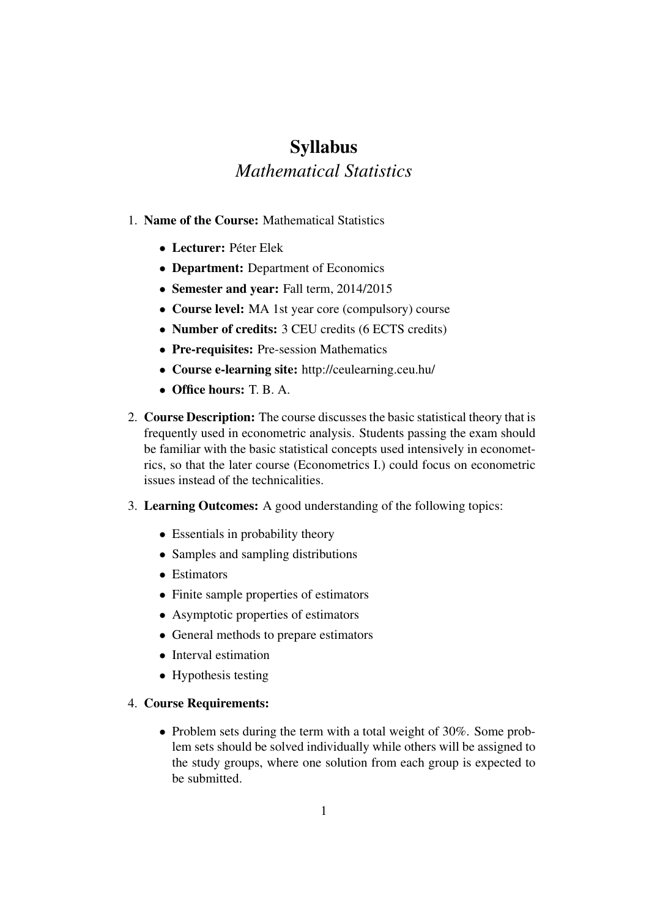# Syllabus *Mathematical Statistics*

- 1. Name of the Course: Mathematical Statistics
	- Lecturer: Péter Elek
	- Department: Department of Economics
	- Semester and year: Fall term, 2014/2015
	- Course level: MA 1st year core (compulsory) course
	- Number of credits: 3 CEU credits (6 ECTS credits)
	- Pre-requisites: Pre-session Mathematics
	- Course e-learning site: http://ceulearning.ceu.hu/
	- Office hours:  $T$  B  $A$ .
- 2. Course Description: The course discusses the basic statistical theory that is frequently used in econometric analysis. Students passing the exam should be familiar with the basic statistical concepts used intensively in econometrics, so that the later course (Econometrics I.) could focus on econometric issues instead of the technicalities.
- 3. Learning Outcomes: A good understanding of the following topics:
	- Essentials in probability theory
	- Samples and sampling distributions
	- Estimators
	- Finite sample properties of estimators
	- Asymptotic properties of estimators
	- General methods to prepare estimators
	- Interval estimation
	- Hypothesis testing

#### 4. Course Requirements:

• Problem sets during the term with a total weight of 30%. Some problem sets should be solved individually while others will be assigned to the study groups, where one solution from each group is expected to be submitted.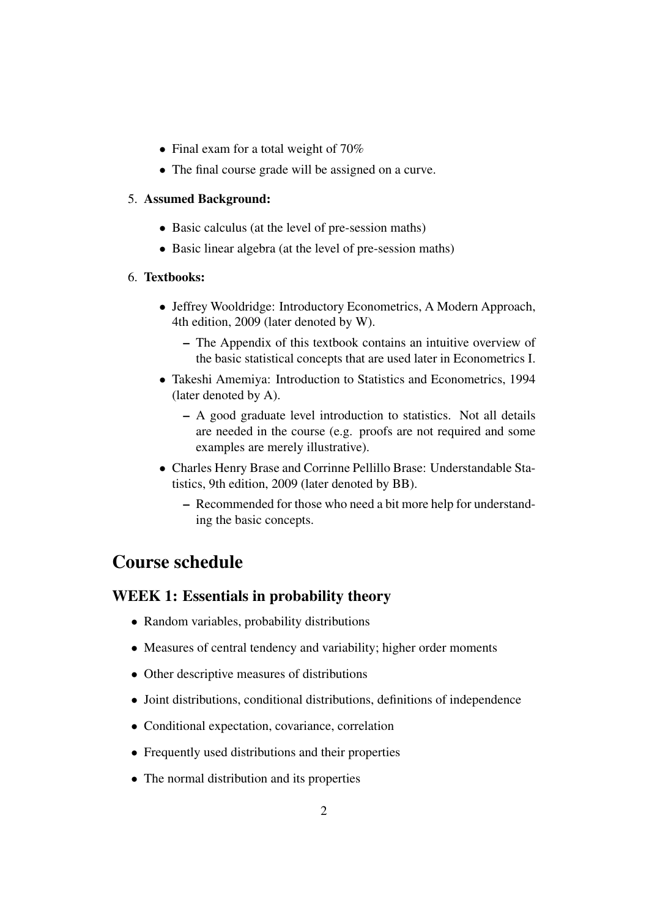- Final exam for a total weight of 70%
- The final course grade will be assigned on a curve.

#### 5. Assumed Background:

- Basic calculus (at the level of pre-session maths)
- Basic linear algebra (at the level of pre-session maths)

#### 6. Textbooks:

- Jeffrey Wooldridge: Introductory Econometrics, A Modern Approach, 4th edition, 2009 (later denoted by W).
	- The Appendix of this textbook contains an intuitive overview of the basic statistical concepts that are used later in Econometrics I.
- Takeshi Amemiya: Introduction to Statistics and Econometrics, 1994 (later denoted by A).
	- A good graduate level introduction to statistics. Not all details are needed in the course (e.g. proofs are not required and some examples are merely illustrative).
- Charles Henry Brase and Corrinne Pellillo Brase: Understandable Statistics, 9th edition, 2009 (later denoted by BB).
	- Recommended for those who need a bit more help for understanding the basic concepts.

## Course schedule

### WEEK 1: Essentials in probability theory

- Random variables, probability distributions
- Measures of central tendency and variability; higher order moments
- Other descriptive measures of distributions
- Joint distributions, conditional distributions, definitions of independence
- Conditional expectation, covariance, correlation
- Frequently used distributions and their properties
- The normal distribution and its properties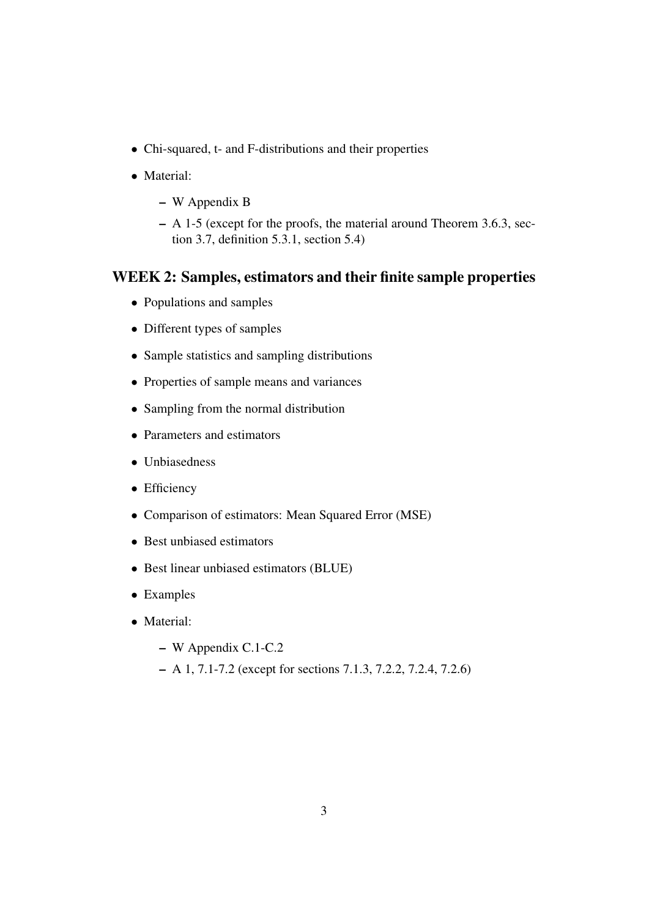- Chi-squared, t- and F-distributions and their properties
- Material:
	- W Appendix B
	- A 1-5 (except for the proofs, the material around Theorem 3.6.3, section 3.7, definition 5.3.1, section 5.4)

### WEEK 2: Samples, estimators and their finite sample properties

- Populations and samples
- Different types of samples
- Sample statistics and sampling distributions
- Properties of sample means and variances
- Sampling from the normal distribution
- Parameters and estimators
- Unbiasedness
- Efficiency
- Comparison of estimators: Mean Squared Error (MSE)
- Best unbiased estimators
- Best linear unbiased estimators (BLUE)
- Examples
- Material:
	- W Appendix C.1-C.2
	- A 1, 7.1-7.2 (except for sections 7.1.3, 7.2.2, 7.2.4, 7.2.6)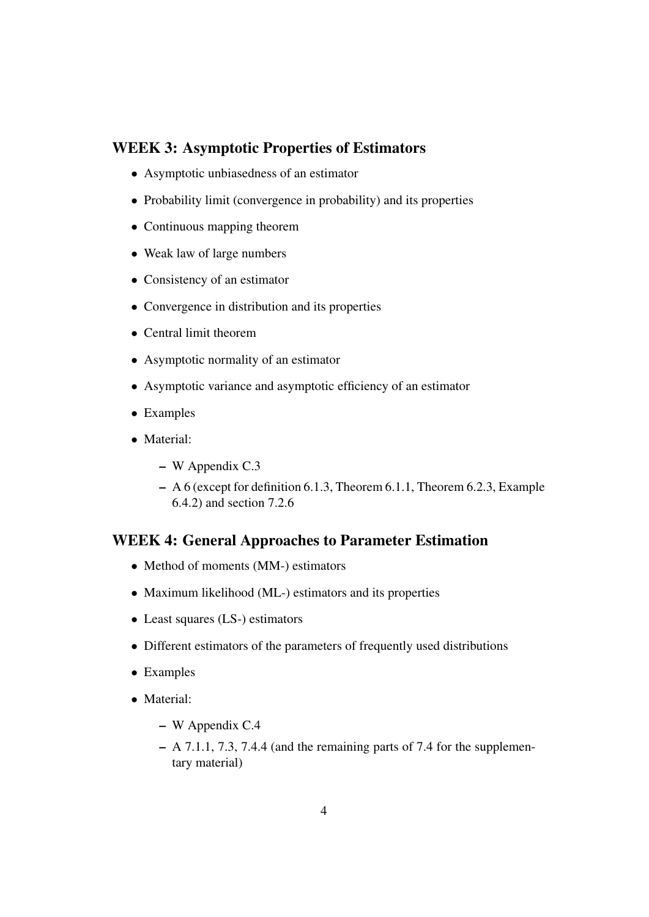### WEEK 3: Asymptotic Properties of Estimators

- Asymptotic unbiasedness of an estimator
- Probability limit (convergence in probability) and its properties
- Continuous mapping theorem
- Weak law of large numbers
- Consistency of an estimator
- Convergence in distribution and its properties
- Central limit theorem
- Asymptotic normality of an estimator
- Asymptotic variance and asymptotic efficiency of an estimator
- Examples
- Material:
	- W Appendix C.3
	- A 6 (except for definition 6.1.3, Theorem 6.1.1, Theorem 6.2.3, Example 6.4.2) and section 7.2.6

### WEEK 4: General Approaches to Parameter Estimation

- Method of moments (MM-) estimators
- Maximum likelihood (ML-) estimators and its properties
- Least squares (LS-) estimators
- Different estimators of the parameters of frequently used distributions
- Examples
- Material:
	- W Appendix C.4
	- A 7.1.1, 7.3, 7.4.4 (and the remaining parts of 7.4 for the supplementary material)